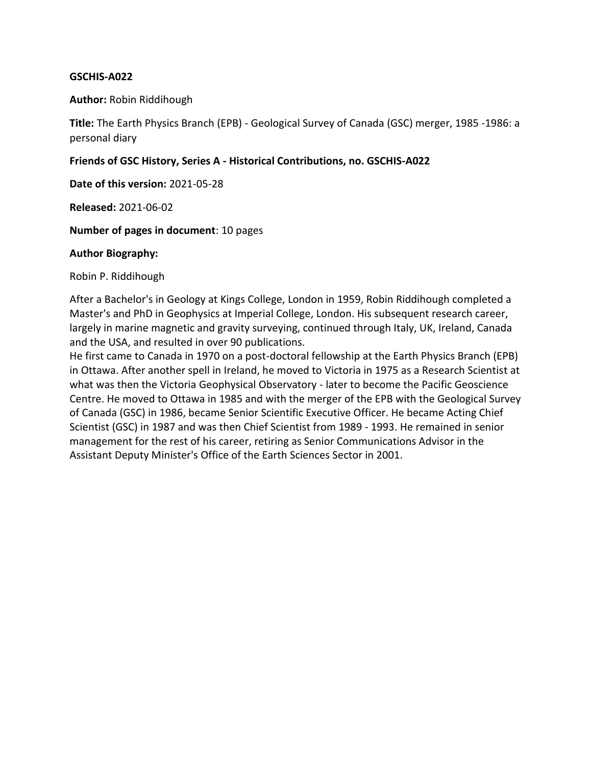#### **GSCHIS-A022**

#### **Author:** Robin Riddihough

**Title:** The Earth Physics Branch (EPB) - Geological Survey of Canada (GSC) merger, 1985 -1986: a personal diary

#### **Friends of GSC History, Series A - Historical Contributions, no. GSCHIS-A022**

**Date of this version:** 2021-05-28

**Released:** 2021-06-02

#### **Number of pages in document**: 10 pages

#### **Author Biography:**

Robin P. Riddihough

After a Bachelor's in Geology at Kings College, London in 1959, Robin Riddihough completed a Master's and PhD in Geophysics at Imperial College, London. His subsequent research career, largely in marine magnetic and gravity surveying, continued through Italy, UK, Ireland, Canada and the USA, and resulted in over 90 publications.

He first came to Canada in 1970 on a post-doctoral fellowship at the Earth Physics Branch (EPB) in Ottawa. After another spell in Ireland, he moved to Victoria in 1975 as a Research Scientist at what was then the Victoria Geophysical Observatory - later to become the Pacific Geoscience Centre. He moved to Ottawa in 1985 and with the merger of the EPB with the Geological Survey of Canada (GSC) in 1986, became Senior Scientific Executive Officer. He became Acting Chief Scientist (GSC) in 1987 and was then Chief Scientist from 1989 - 1993. He remained in senior management for the rest of his career, retiring as Senior Communications Advisor in the Assistant Deputy Minister's Office of the Earth Sciences Sector in 2001.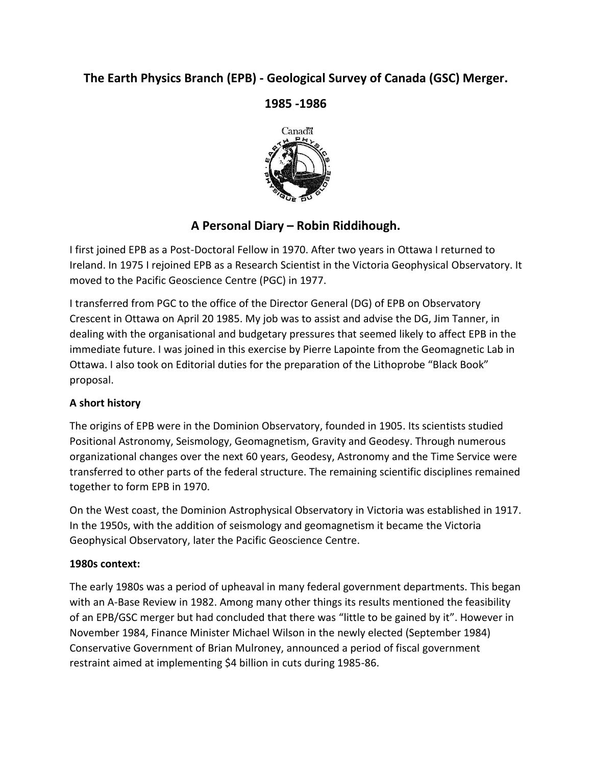# **The Earth Physics Branch (EPB) - Geological Survey of Canada (GSC) Merger.**

## **1985 -1986**



## **A Personal Diary – Robin Riddihough.**

I first joined EPB as a Post-Doctoral Fellow in 1970. After two years in Ottawa I returned to Ireland. In 1975 I rejoined EPB as a Research Scientist in the Victoria Geophysical Observatory. It moved to the Pacific Geoscience Centre (PGC) in 1977.

I transferred from PGC to the office of the Director General (DG) of EPB on Observatory Crescent in Ottawa on April 20 1985. My job was to assist and advise the DG, Jim Tanner, in dealing with the organisational and budgetary pressures that seemed likely to affect EPB in the immediate future. I was joined in this exercise by Pierre Lapointe from the Geomagnetic Lab in Ottawa. I also took on Editorial duties for the preparation of the Lithoprobe "Black Book" proposal.

## **A short history**

The origins of EPB were in the Dominion Observatory, founded in 1905. Its scientists studied Positional Astronomy, Seismology, Geomagnetism, Gravity and Geodesy. Through numerous organizational changes over the next 60 years, Geodesy, Astronomy and the Time Service were transferred to other parts of the federal structure. The remaining scientific disciplines remained together to form EPB in 1970.

On the West coast, the Dominion Astrophysical Observatory in Victoria was established in 1917. In the 1950s, with the addition of seismology and geomagnetism it became the Victoria Geophysical Observatory, later the Pacific Geoscience Centre.

## **1980s context:**

The early 1980s was a period of upheaval in many federal government departments. This began with an A-Base Review in 1982. Among many other things its results mentioned the feasibility of an EPB/GSC merger but had concluded that there was "little to be gained by it". However in November 1984, Finance Minister Michael Wilson in the newly elected (September 1984) Conservative Government of Brian Mulroney, announced a period of fiscal government restraint aimed at implementing \$4 billion in cuts during 1985-86.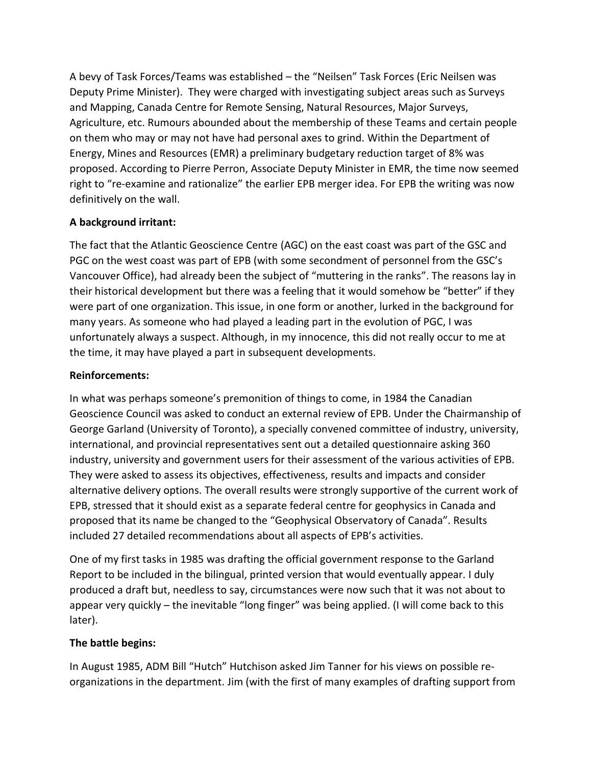A bevy of Task Forces/Teams was established – the "Neilsen" Task Forces (Eric Neilsen was Deputy Prime Minister). They were charged with investigating subject areas such as Surveys and Mapping, Canada Centre for Remote Sensing, Natural Resources, Major Surveys, Agriculture, etc. Rumours abounded about the membership of these Teams and certain people on them who may or may not have had personal axes to grind. Within the Department of Energy, Mines and Resources (EMR) a preliminary budgetary reduction target of 8% was proposed. According to Pierre Perron, Associate Deputy Minister in EMR, the time now seemed right to "re-examine and rationalize" the earlier EPB merger idea. For EPB the writing was now definitively on the wall.

## **A background irritant:**

The fact that the Atlantic Geoscience Centre (AGC) on the east coast was part of the GSC and PGC on the west coast was part of EPB (with some secondment of personnel from the GSC's Vancouver Office), had already been the subject of "muttering in the ranks". The reasons lay in their historical development but there was a feeling that it would somehow be "better" if they were part of one organization. This issue, in one form or another, lurked in the background for many years. As someone who had played a leading part in the evolution of PGC, I was unfortunately always a suspect. Although, in my innocence, this did not really occur to me at the time, it may have played a part in subsequent developments.

#### **Reinforcements:**

In what was perhaps someone's premonition of things to come, in 1984 the Canadian Geoscience Council was asked to conduct an external review of EPB. Under the Chairmanship of George Garland (University of Toronto), a specially convened committee of industry, university, international, and provincial representatives sent out a detailed questionnaire asking 360 industry, university and government users for their assessment of the various activities of EPB. They were asked to assess its objectives, effectiveness, results and impacts and consider alternative delivery options. The overall results were strongly supportive of the current work of EPB, stressed that it should exist as a separate federal centre for geophysics in Canada and proposed that its name be changed to the "Geophysical Observatory of Canada". Results included 27 detailed recommendations about all aspects of EPB's activities.

One of my first tasks in 1985 was drafting the official government response to the Garland Report to be included in the bilingual, printed version that would eventually appear. I duly produced a draft but, needless to say, circumstances were now such that it was not about to appear very quickly – the inevitable "long finger" was being applied. (I will come back to this later).

## **The battle begins:**

In August 1985, ADM Bill "Hutch" Hutchison asked Jim Tanner for his views on possible reorganizations in the department. Jim (with the first of many examples of drafting support from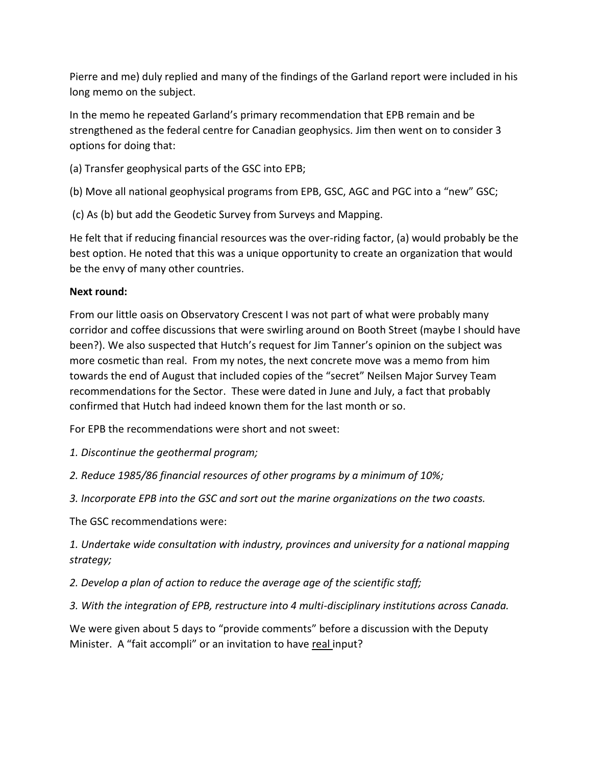Pierre and me) duly replied and many of the findings of the Garland report were included in his long memo on the subject.

In the memo he repeated Garland's primary recommendation that EPB remain and be strengthened as the federal centre for Canadian geophysics. Jim then went on to consider 3 options for doing that:

- (a) Transfer geophysical parts of the GSC into EPB;
- (b) Move all national geophysical programs from EPB, GSC, AGC and PGC into a "new" GSC;
- (c) As (b) but add the Geodetic Survey from Surveys and Mapping.

He felt that if reducing financial resources was the over-riding factor, (a) would probably be the best option. He noted that this was a unique opportunity to create an organization that would be the envy of many other countries.

## **Next round:**

From our little oasis on Observatory Crescent I was not part of what were probably many corridor and coffee discussions that were swirling around on Booth Street (maybe I should have been?). We also suspected that Hutch's request for Jim Tanner's opinion on the subject was more cosmetic than real. From my notes, the next concrete move was a memo from him towards the end of August that included copies of the "secret" Neilsen Major Survey Team recommendations for the Sector. These were dated in June and July, a fact that probably confirmed that Hutch had indeed known them for the last month or so.

For EPB the recommendations were short and not sweet:

*1. Discontinue the geothermal program;*

*2. Reduce 1985/86 financial resources of other programs by a minimum of 10%;*

*3. Incorporate EPB into the GSC and sort out the marine organizations on the two coasts.*

The GSC recommendations were:

*1. Undertake wide consultation with industry, provinces and university for a national mapping strategy;*

*2. Develop a plan of action to reduce the average age of the scientific staff;*

*3. With the integration of EPB, restructure into 4 multi-disciplinary institutions across Canada.*

We were given about 5 days to "provide comments" before a discussion with the Deputy Minister. A "fait accompli" or an invitation to have real input?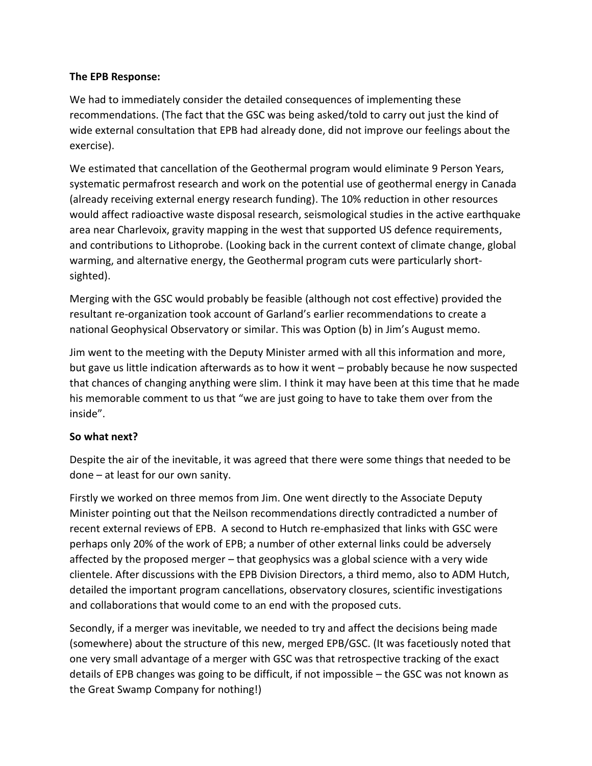#### **The EPB Response:**

We had to immediately consider the detailed consequences of implementing these recommendations. (The fact that the GSC was being asked/told to carry out just the kind of wide external consultation that EPB had already done, did not improve our feelings about the exercise).

We estimated that cancellation of the Geothermal program would eliminate 9 Person Years, systematic permafrost research and work on the potential use of geothermal energy in Canada (already receiving external energy research funding). The 10% reduction in other resources would affect radioactive waste disposal research, seismological studies in the active earthquake area near Charlevoix, gravity mapping in the west that supported US defence requirements, and contributions to Lithoprobe. (Looking back in the current context of climate change, global warming, and alternative energy, the Geothermal program cuts were particularly shortsighted).

Merging with the GSC would probably be feasible (although not cost effective) provided the resultant re-organization took account of Garland's earlier recommendations to create a national Geophysical Observatory or similar. This was Option (b) in Jim's August memo.

Jim went to the meeting with the Deputy Minister armed with all this information and more, but gave us little indication afterwards as to how it went – probably because he now suspected that chances of changing anything were slim. I think it may have been at this time that he made his memorable comment to us that "we are just going to have to take them over from the inside".

## **So what next?**

Despite the air of the inevitable, it was agreed that there were some things that needed to be done – at least for our own sanity.

Firstly we worked on three memos from Jim. One went directly to the Associate Deputy Minister pointing out that the Neilson recommendations directly contradicted a number of recent external reviews of EPB. A second to Hutch re-emphasized that links with GSC were perhaps only 20% of the work of EPB; a number of other external links could be adversely affected by the proposed merger – that geophysics was a global science with a very wide clientele. After discussions with the EPB Division Directors, a third memo, also to ADM Hutch, detailed the important program cancellations, observatory closures, scientific investigations and collaborations that would come to an end with the proposed cuts.

Secondly, if a merger was inevitable, we needed to try and affect the decisions being made (somewhere) about the structure of this new, merged EPB/GSC. (It was facetiously noted that one very small advantage of a merger with GSC was that retrospective tracking of the exact details of EPB changes was going to be difficult, if not impossible – the GSC was not known as the Great Swamp Company for nothing!)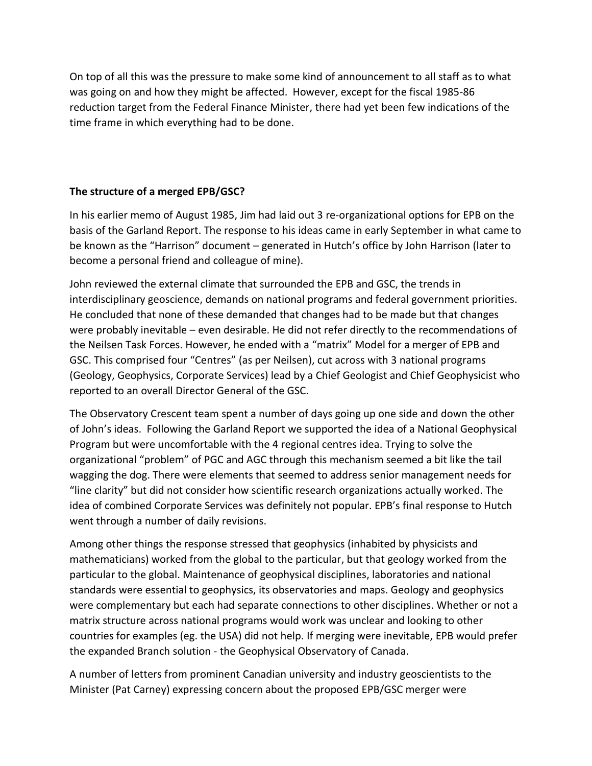On top of all this was the pressure to make some kind of announcement to all staff as to what was going on and how they might be affected. However, except for the fiscal 1985-86 reduction target from the Federal Finance Minister, there had yet been few indications of the time frame in which everything had to be done.

## **The structure of a merged EPB/GSC?**

In his earlier memo of August 1985, Jim had laid out 3 re-organizational options for EPB on the basis of the Garland Report. The response to his ideas came in early September in what came to be known as the "Harrison" document – generated in Hutch's office by John Harrison (later to become a personal friend and colleague of mine).

John reviewed the external climate that surrounded the EPB and GSC, the trends in interdisciplinary geoscience, demands on national programs and federal government priorities. He concluded that none of these demanded that changes had to be made but that changes were probably inevitable – even desirable. He did not refer directly to the recommendations of the Neilsen Task Forces. However, he ended with a "matrix" Model for a merger of EPB and GSC. This comprised four "Centres" (as per Neilsen), cut across with 3 national programs (Geology, Geophysics, Corporate Services) lead by a Chief Geologist and Chief Geophysicist who reported to an overall Director General of the GSC.

The Observatory Crescent team spent a number of days going up one side and down the other of John's ideas. Following the Garland Report we supported the idea of a National Geophysical Program but were uncomfortable with the 4 regional centres idea. Trying to solve the organizational "problem" of PGC and AGC through this mechanism seemed a bit like the tail wagging the dog. There were elements that seemed to address senior management needs for "line clarity" but did not consider how scientific research organizations actually worked. The idea of combined Corporate Services was definitely not popular. EPB's final response to Hutch went through a number of daily revisions.

Among other things the response stressed that geophysics (inhabited by physicists and mathematicians) worked from the global to the particular, but that geology worked from the particular to the global. Maintenance of geophysical disciplines, laboratories and national standards were essential to geophysics, its observatories and maps. Geology and geophysics were complementary but each had separate connections to other disciplines. Whether or not a matrix structure across national programs would work was unclear and looking to other countries for examples (eg. the USA) did not help. If merging were inevitable, EPB would prefer the expanded Branch solution - the Geophysical Observatory of Canada.

A number of letters from prominent Canadian university and industry geoscientists to the Minister (Pat Carney) expressing concern about the proposed EPB/GSC merger were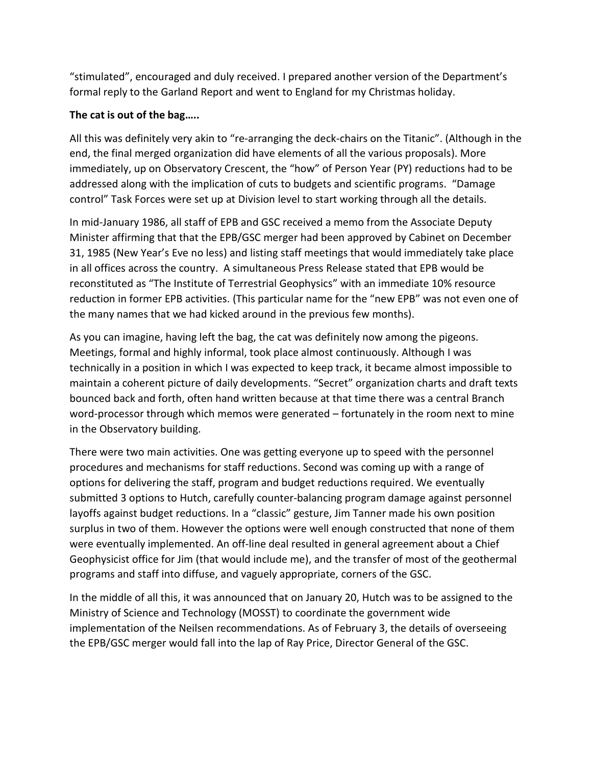"stimulated", encouraged and duly received. I prepared another version of the Department's formal reply to the Garland Report and went to England for my Christmas holiday.

## **The cat is out of the bag…..**

All this was definitely very akin to "re-arranging the deck-chairs on the Titanic". (Although in the end, the final merged organization did have elements of all the various proposals). More immediately, up on Observatory Crescent, the "how" of Person Year (PY) reductions had to be addressed along with the implication of cuts to budgets and scientific programs. "Damage control" Task Forces were set up at Division level to start working through all the details.

In mid-January 1986, all staff of EPB and GSC received a memo from the Associate Deputy Minister affirming that that the EPB/GSC merger had been approved by Cabinet on December 31, 1985 (New Year's Eve no less) and listing staff meetings that would immediately take place in all offices across the country. A simultaneous Press Release stated that EPB would be reconstituted as "The Institute of Terrestrial Geophysics" with an immediate 10% resource reduction in former EPB activities. (This particular name for the "new EPB" was not even one of the many names that we had kicked around in the previous few months).

As you can imagine, having left the bag, the cat was definitely now among the pigeons. Meetings, formal and highly informal, took place almost continuously. Although I was technically in a position in which I was expected to keep track, it became almost impossible to maintain a coherent picture of daily developments. "Secret" organization charts and draft texts bounced back and forth, often hand written because at that time there was a central Branch word-processor through which memos were generated – fortunately in the room next to mine in the Observatory building.

There were two main activities. One was getting everyone up to speed with the personnel procedures and mechanisms for staff reductions. Second was coming up with a range of options for delivering the staff, program and budget reductions required. We eventually submitted 3 options to Hutch, carefully counter-balancing program damage against personnel layoffs against budget reductions. In a "classic" gesture, Jim Tanner made his own position surplus in two of them. However the options were well enough constructed that none of them were eventually implemented. An off-line deal resulted in general agreement about a Chief Geophysicist office for Jim (that would include me), and the transfer of most of the geothermal programs and staff into diffuse, and vaguely appropriate, corners of the GSC.

In the middle of all this, it was announced that on January 20, Hutch was to be assigned to the Ministry of Science and Technology (MOSST) to coordinate the government wide implementation of the Neilsen recommendations. As of February 3, the details of overseeing the EPB/GSC merger would fall into the lap of Ray Price, Director General of the GSC.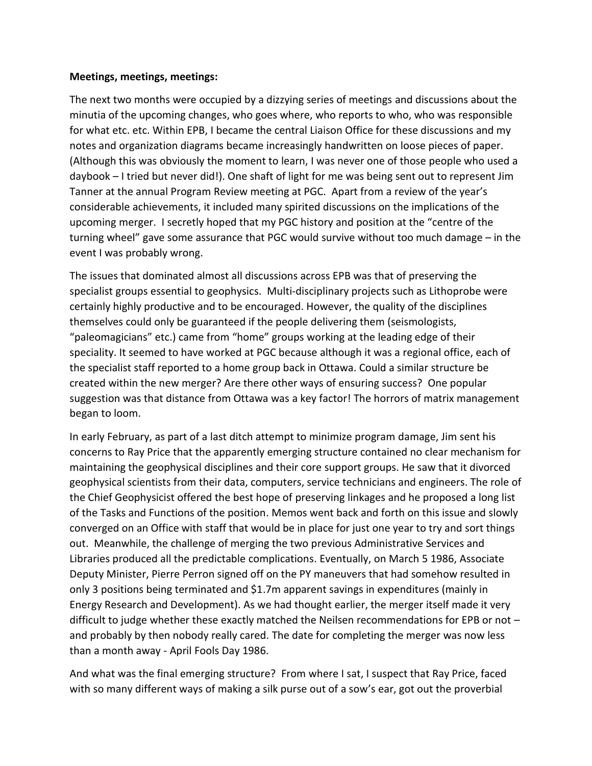#### **Meetings, meetings, meetings:**

The next two months were occupied by a dizzying series of meetings and discussions about the minutia of the upcoming changes, who goes where, who reports to who, who was responsible for what etc. etc. Within EPB, I became the central Liaison Office for these discussions and my notes and organization diagrams became increasingly handwritten on loose pieces of paper. (Although this was obviously the moment to learn, I was never one of those people who used a daybook – I tried but never did!). One shaft of light for me was being sent out to represent Jim Tanner at the annual Program Review meeting at PGC. Apart from a review of the year's considerable achievements, it included many spirited discussions on the implications of the upcoming merger. I secretly hoped that my PGC history and position at the "centre of the turning wheel" gave some assurance that PGC would survive without too much damage – in the event I was probably wrong.

The issues that dominated almost all discussions across EPB was that of preserving the specialist groups essential to geophysics. Multi-disciplinary projects such as Lithoprobe were certainly highly productive and to be encouraged. However, the quality of the disciplines themselves could only be guaranteed if the people delivering them (seismologists, "paleomagicians" etc.) came from "home" groups working at the leading edge of their speciality. It seemed to have worked at PGC because although it was a regional office, each of the specialist staff reported to a home group back in Ottawa. Could a similar structure be created within the new merger? Are there other ways of ensuring success? One popular suggestion was that distance from Ottawa was a key factor! The horrors of matrix management began to loom.

In early February, as part of a last ditch attempt to minimize program damage, Jim sent his concerns to Ray Price that the apparently emerging structure contained no clear mechanism for maintaining the geophysical disciplines and their core support groups. He saw that it divorced geophysical scientists from their data, computers, service technicians and engineers. The role of the Chief Geophysicist offered the best hope of preserving linkages and he proposed a long list of the Tasks and Functions of the position. Memos went back and forth on this issue and slowly converged on an Office with staff that would be in place for just one year to try and sort things out. Meanwhile, the challenge of merging the two previous Administrative Services and Libraries produced all the predictable complications. Eventually, on March 5 1986, Associate Deputy Minister, Pierre Perron signed off on the PY maneuvers that had somehow resulted in only 3 positions being terminated and \$1.7m apparent savings in expenditures (mainly in Energy Research and Development). As we had thought earlier, the merger itself made it very difficult to judge whether these exactly matched the Neilsen recommendations for EPB or not – and probably by then nobody really cared. The date for completing the merger was now less than a month away - April Fools Day 1986.

And what was the final emerging structure? From where I sat, I suspect that Ray Price, faced with so many different ways of making a silk purse out of a sow's ear, got out the proverbial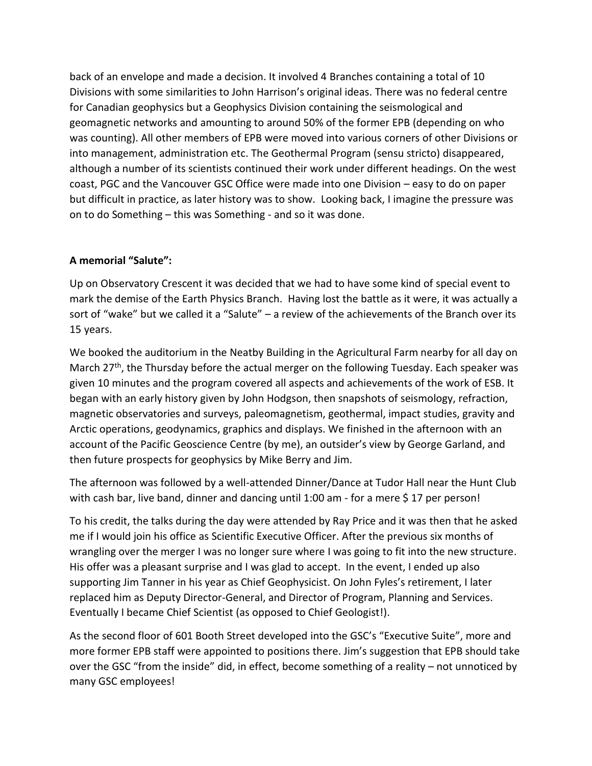back of an envelope and made a decision. It involved 4 Branches containing a total of 10 Divisions with some similarities to John Harrison's original ideas. There was no federal centre for Canadian geophysics but a Geophysics Division containing the seismological and geomagnetic networks and amounting to around 50% of the former EPB (depending on who was counting). All other members of EPB were moved into various corners of other Divisions or into management, administration etc. The Geothermal Program (sensu stricto) disappeared, although a number of its scientists continued their work under different headings. On the west coast, PGC and the Vancouver GSC Office were made into one Division – easy to do on paper but difficult in practice, as later history was to show. Looking back, I imagine the pressure was on to do Something – this was Something - and so it was done.

## **A memorial "Salute":**

Up on Observatory Crescent it was decided that we had to have some kind of special event to mark the demise of the Earth Physics Branch. Having lost the battle as it were, it was actually a sort of "wake" but we called it a "Salute" – a review of the achievements of the Branch over its 15 years.

We booked the auditorium in the Neatby Building in the Agricultural Farm nearby for all day on March 27<sup>th</sup>, the Thursday before the actual merger on the following Tuesday. Each speaker was given 10 minutes and the program covered all aspects and achievements of the work of ESB. It began with an early history given by John Hodgson, then snapshots of seismology, refraction, magnetic observatories and surveys, paleomagnetism, geothermal, impact studies, gravity and Arctic operations, geodynamics, graphics and displays. We finished in the afternoon with an account of the Pacific Geoscience Centre (by me), an outsider's view by George Garland, and then future prospects for geophysics by Mike Berry and Jim.

The afternoon was followed by a well-attended Dinner/Dance at Tudor Hall near the Hunt Club with cash bar, live band, dinner and dancing until 1:00 am - for a mere \$17 per person!

To his credit, the talks during the day were attended by Ray Price and it was then that he asked me if I would join his office as Scientific Executive Officer. After the previous six months of wrangling over the merger I was no longer sure where I was going to fit into the new structure. His offer was a pleasant surprise and I was glad to accept. In the event, I ended up also supporting Jim Tanner in his year as Chief Geophysicist. On John Fyles's retirement, I later replaced him as Deputy Director-General, and Director of Program, Planning and Services. Eventually I became Chief Scientist (as opposed to Chief Geologist!).

As the second floor of 601 Booth Street developed into the GSC's "Executive Suite", more and more former EPB staff were appointed to positions there. Jim's suggestion that EPB should take over the GSC "from the inside" did, in effect, become something of a reality – not unnoticed by many GSC employees!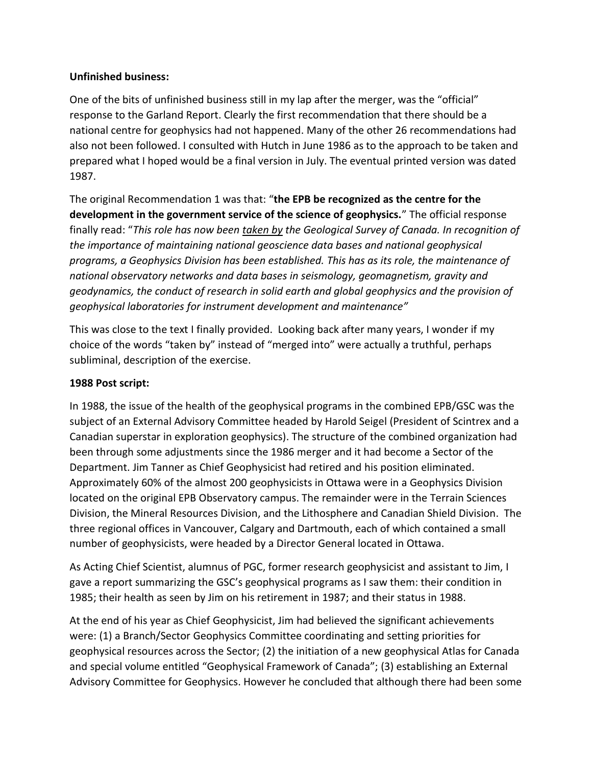#### **Unfinished business:**

One of the bits of unfinished business still in my lap after the merger, was the "official" response to the Garland Report. Clearly the first recommendation that there should be a national centre for geophysics had not happened. Many of the other 26 recommendations had also not been followed. I consulted with Hutch in June 1986 as to the approach to be taken and prepared what I hoped would be a final version in July. The eventual printed version was dated 1987.

The original Recommendation 1 was that: "**the EPB be recognized as the centre for the development in the government service of the science of geophysics.**" The official response finally read: "*This role has now been taken by the Geological Survey of Canada. In recognition of the importance of maintaining national geoscience data bases and national geophysical programs, a Geophysics Division has been established. This has as its role, the maintenance of national observatory networks and data bases in seismology, geomagnetism, gravity and geodynamics, the conduct of research in solid earth and global geophysics and the provision of geophysical laboratories for instrument development and maintenance"*

This was close to the text I finally provided. Looking back after many years, I wonder if my choice of the words "taken by" instead of "merged into" were actually a truthful, perhaps subliminal, description of the exercise.

#### **1988 Post script:**

In 1988, the issue of the health of the geophysical programs in the combined EPB/GSC was the subject of an External Advisory Committee headed by Harold Seigel (President of Scintrex and a Canadian superstar in exploration geophysics). The structure of the combined organization had been through some adjustments since the 1986 merger and it had become a Sector of the Department. Jim Tanner as Chief Geophysicist had retired and his position eliminated. Approximately 60% of the almost 200 geophysicists in Ottawa were in a Geophysics Division located on the original EPB Observatory campus. The remainder were in the Terrain Sciences Division, the Mineral Resources Division, and the Lithosphere and Canadian Shield Division. The three regional offices in Vancouver, Calgary and Dartmouth, each of which contained a small number of geophysicists, were headed by a Director General located in Ottawa.

As Acting Chief Scientist, alumnus of PGC, former research geophysicist and assistant to Jim, I gave a report summarizing the GSC's geophysical programs as I saw them: their condition in 1985; their health as seen by Jim on his retirement in 1987; and their status in 1988.

At the end of his year as Chief Geophysicist, Jim had believed the significant achievements were: (1) a Branch/Sector Geophysics Committee coordinating and setting priorities for geophysical resources across the Sector; (2) the initiation of a new geophysical Atlas for Canada and special volume entitled "Geophysical Framework of Canada"; (3) establishing an External Advisory Committee for Geophysics. However he concluded that although there had been some